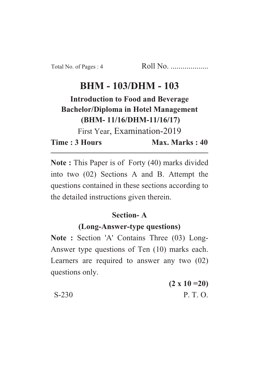# **BHM - 103/DHM - 103**

# **Introduction to Food and Beverage Bachelor/Diploma in Hotel Management (BHM- 11/16/DHM-11/16/17)**

First Year, Examination-2019

**Time : 3 Hours Max. Marks : 40** 

**Note :** This Paper is of Forty (40) marks divided into two (02) Sections A and B. Attempt the questions contained in these sections according to the detailed instructions given therein.

## **Section- A**

## **(Long-Answer-type questions)**

**Note :** Section 'A' Contains Three (03) Long-Answer type questions of Ten (10) marks each. Learners are required to answer any two (02) questions only.

|         | $(2 \times 10 = 20)$ |
|---------|----------------------|
| $S-230$ | P. T. O.             |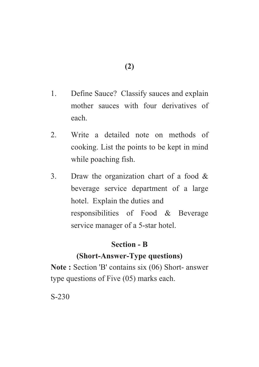- 1. Define Sauce? Classify sauces and explain mother sauces with four derivatives of each.
- 2. Write a detailed note on methods of cooking. List the points to be kept in mind while poaching fish.
- 3. Draw the organization chart of a food & beverage service department of a large hotel. Explain the duties and responsibilities of Food & Beverage service manager of a 5-star hotel.

#### **Section - B**

#### **(Short-Answer-Type questions)**

**Note :** Section 'B' contains six (06) Short- answer type questions of Five (05) marks each.

S-230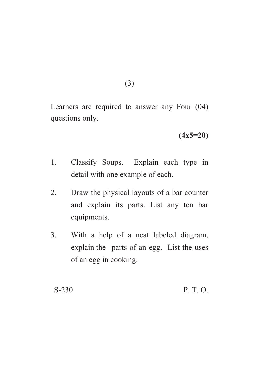(3)

Learners are required to answer any Four (04) questions only.

**(4x5=20)**

- 1. Classify Soups. Explain each type in detail with one example of each.
- 2. Draw the physical layouts of a bar counter and explain its parts. List any ten bar equipments.
- 3. With a help of a neat labeled diagram, explain the parts of an egg. List the uses of an egg in cooking.

S-230 P. T. O.